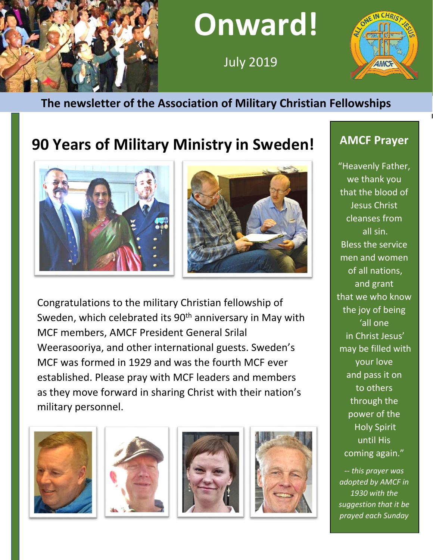

# **Onward!**

July 2019



#### **The newsletter of the Association of Military Christian Fellowships**

#### **90 Years of Military Ministry in Sweden!**





Congratulations to the military Christian fellowship of Sweden, which celebrated its 90<sup>th</sup> anniversary in May with MCF members, AMCF President General Srilal Weerasooriya, and other international guests. Sweden's MCF was formed in 1929 and was the fourth MCF ever established. Please pray with MCF leaders and members as they move forward in sharing Christ with their nation's military personnel.









#### **AMCF Prayer**

"Heavenly Father, we thank you that the blood of Jesus Christ cleanses from all sin. Bless the service men and women of all nations, and grant that we who know the joy of being 'all one in Christ Jesus' may be filled with your love and pass it on to others through the power of the Holy Spirit until His coming again."

*-- this prayer was adopted by AMCF in 1930 with the suggestion that it be prayed each Sunday*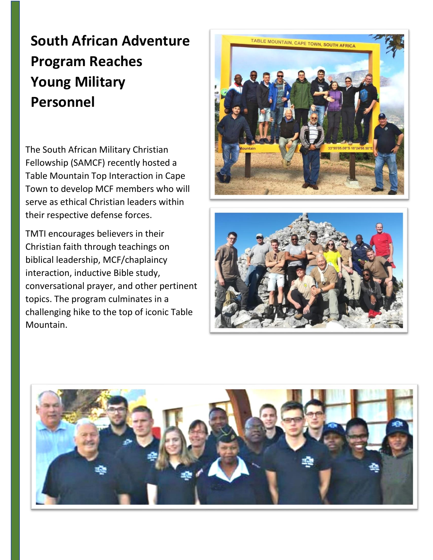# **South African Adventure Program Reaches Young Military Personnel**

The South African Military Christian Fellowship (SAMCF) recently hosted a Table Mountain Top Interaction in Cape Town to develop MCF members who will serve as ethical Christian leaders within their respective defense forces.

TMTI encourages believers in their Christian faith through teachings on biblical leadership, MCF/chaplaincy interaction, inductive Bible study, conversational prayer, and other pertinent topics. The program culminates in a challenging hike to the top of iconic Table Mountain.





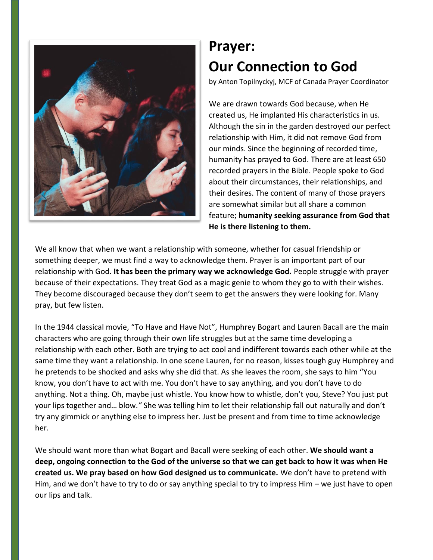

## **Prayer: Our Connection to God**

by Anton Topilnyckyj, MCF of Canada Prayer Coordinator

We are drawn towards God because, when He created us, He implanted His characteristics in us. Although the sin in the garden destroyed our perfect relationship with Him, it did not remove God from our minds. Since the beginning of recorded time, humanity has prayed to God. There are at least 650 recorded prayers in the Bible. People spoke to God about their circumstances, their relationships, and their desires. The content of many of those prayers are somewhat similar but all share a common feature; **humanity seeking assurance from God that He is there listening to them.**

We all know that when we want a relationship with someone, whether for casual friendship or something deeper, we must find a way to acknowledge them. Prayer is an important part of our relationship with God. **It has been the primary way we acknowledge God.** People struggle with prayer because of their expectations. They treat God as a magic genie to whom they go to with their wishes. They become discouraged because they don't seem to get the answers they were looking for. Many pray, but few listen.

In the 1944 classical movie, "To Have and Have Not", Humphrey Bogart and Lauren Bacall are the main characters who are going through their own life struggles but at the same time developing a relationship with each other. Both are trying to act cool and indifferent towards each other while at the same time they want a relationship. In one scene Lauren, for no reason, kisses tough guy Humphrey and he pretends to be shocked and asks why she did that. As she leaves the room, she says to him "You know, you don't have to act with me. You don't have to say anything, and you don't have to do anything. Not a thing. Oh, maybe just whistle. You know how to whistle, don't you, Steve? You just put your lips together and… blow.*"* She was telling him to let their relationship fall out naturally and don't try any gimmick or anything else to impress her. Just be present and from time to time acknowledge her.

We should want more than what Bogart and Bacall were seeking of each other. **We should want a deep, ongoing connection to the God of the universe so that we can get back to how it was when He created us. We pray based on how God designed us to communicate.** We don't have to pretend with Him, and we don't have to try to do or say anything special to try to impress Him – we just have to open our lips and talk.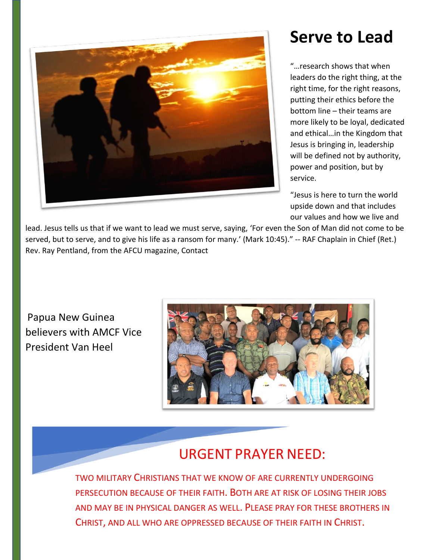

# **Serve to Lead**

"…research shows that when leaders do the right thing, at the right time, for the right reasons, putting their ethics before the bottom line – their teams are more likely to be loyal, dedicated and ethical…in the Kingdom that Jesus is bringing in, leadership will be defined not by authority, power and position, but by service.

"Jesus is here to turn the world upside down and that includes our values and how we live and

lead. Jesus tells us that if we want to lead we must serve, saying, 'For even the Son of Man did not come to be served, but to serve, and to give his life as a ransom for many.' (Mark 10:45)." -- RAF Chaplain in Chief (Ret.) Rev. Ray Pentland, from the AFCU magazine, Contact

#### Papua New Guinea believers with AMCF Vice President Van Heel



### URGENT PRAYER NEED:

TWO MILITARY CHRISTIANS THAT WE KNOW OF ARE CURRENTLY UNDERGOING PERSECUTION BECAUSE OF THEIR FAITH. BOTH ARE AT RISK OF LOSING THEIR JOBS AND MAY BE IN PHYSICAL DANGER AS WELL. PLEASE PRAY FOR THESE BROTHERS IN CHRIST, AND ALL WHO ARE OPPRESSED BECAUSE OF THEIR FAITH IN CHRIST.